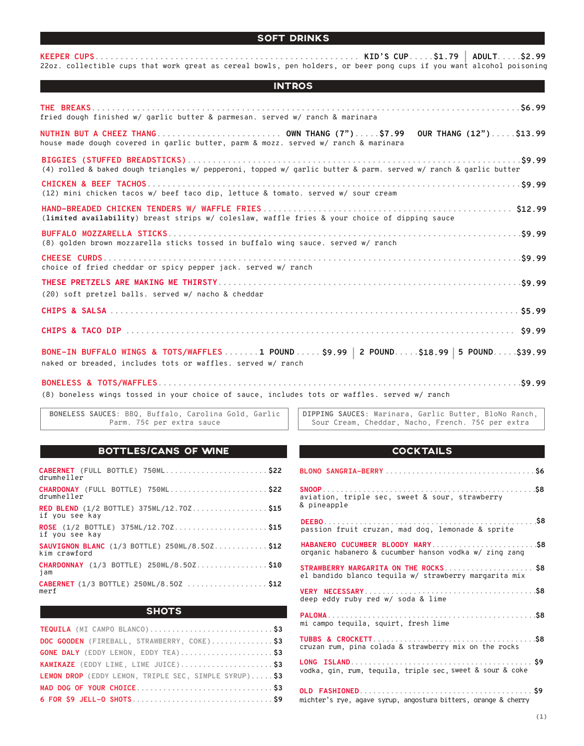## SOFT DRINKS

**KEEPER CUPS..................................................... KID'S CUP.....\$1.79 | ADULT.....\$2.99** 22oz. collectible cups that work great as cereal bowls, pen holders, or beer pong cups if you want alcohol poisoning

| <b>INTROS</b>                                                                                                                                  |
|------------------------------------------------------------------------------------------------------------------------------------------------|
| fried dough finished w/ garlic butter & parmesan. served w/ ranch & marinara                                                                   |
| house made dough covered in garlic butter, parm & mozz. served w/ ranch & marinara                                                             |
| (4) rolled & baked dough triangles w/ pepperoni, topped w/ garlic butter & parm. served w/ ranch & garlic butter                               |
| (12) mini chicken tacos w/ beef taco dip, lettuce & tomato. served w/ sour cream                                                               |
| (limited availability) breast strips w/ coleslaw, waffle fries & your choice of dipping sauce                                                  |
| (8) golden brown mozzarella sticks tossed in buffalo wing sauce. served w/ ranch                                                               |
| choice of fried cheddar or spicy pepper jack. served w/ ranch                                                                                  |
| (20) soft pretzel balls. served w/ nacho & cheddar                                                                                             |
|                                                                                                                                                |
|                                                                                                                                                |
| BONE-IN BUFFALO WINGS & TOTS/WAFFLES1 POUND\$9.99 2 POUND\$18.99 5 POUND\$39.99<br>naked or breaded, includes tots or waffles, served w/ ranch |

**BONELESS & TOTS/WAFFLES.........................................................................\$9.99** (8) boneless wings tossed in your choice of sauce, includes tots or waffles. served w/ ranch

**BONELESS SAUCES**: BBQ, Buffalo, Carolina Gold, Garlic Parm. 75¢ per extra sauce

**DIPPING SAUCES**: Marinara, Garlic Butter, BloNo Ranch, Sour Cream, Cheddar, Nacho, French. 75¢ per extra

## BOTTLES/CANS OF WINE **EXAMPLE SETTLES**

| CABERNET (FULL BOTTLE) 750ML\$22<br>drumheller                |
|---------------------------------------------------------------|
| CHARDONAY (FULL BOTTLE) 750ML\$22<br>drumheller               |
| RED BLEND (1/2 BOTTLE) 375ML/12.70Z\$15<br>if you see kay     |
| ROSE (1/2 BOTTLE) 375ML/12.70Z\$15<br>if you see kay          |
| SAUVIGNON BLANC (1/3 BOTTLE) 250ML/8.50Z \$12<br>kim crawford |
| CHARDONNAY (1/3 BOTTLE) 250ML/8.50Z\$10<br>jam                |
| CABERNET (1/3 BOTTLE) 250ML/8.50Z \$12<br>merf                |

## **SHOTS**

| DOC GOODEN (FIREBALL, STRAWBERRY, COKE)\$3            |
|-------------------------------------------------------|
| GONE DALY (EDDY LEMON, EDDY TEA)\$3                   |
| KAMIKAZE (EDDY LIME, LIME JUICE)\$3                   |
| LEMON DROP (EDDY LEMON, TRIPLE SEC, SIMPLE SYRUP) \$3 |
|                                                       |
|                                                       |

# **SNOOP................................................\$8** aviation, triple sec, sweet & sour, strawberry & pineapple **BLONO SANGRIA-BERRY ..................................\$6**

| passion fruit cruzan, mad dog, lemonade & sprite                                               |  |
|------------------------------------------------------------------------------------------------|--|
| organic habanero & cucumber hanson vodka w/ zing zang                                          |  |
| STRAWBERRY MARGARITA ON THE ROCKS \$8<br>el bandido blanco tequila w/ strawberry margarita mix |  |
| deep eddy ruby red w/ soda & lime                                                              |  |
| mi campo teguila, squirt, fresh lime                                                           |  |
| cruzan rum, pina colada & strawberry mix on the rocks                                          |  |
| vodka, gin, rum, tequila, triple sec, sweet & sour & coke                                      |  |
| michter's rye, agave syrup, angostura bitters, orange & cherry                                 |  |